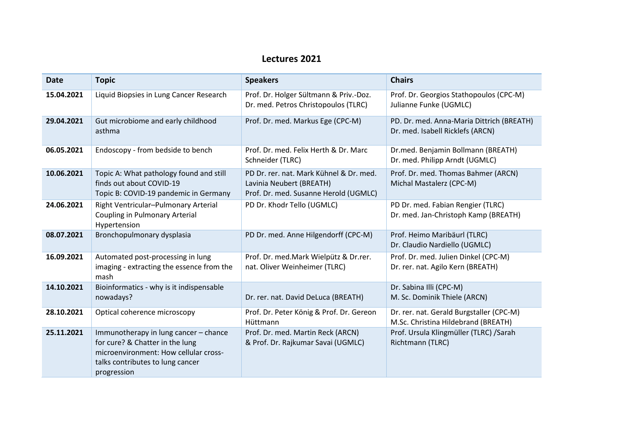## **Lectures 2021**

| <b>Date</b> | <b>Topic</b>                                                                                                                                                         | <b>Speakers</b>                                                                                              | <b>Chairs</b>                                                                   |
|-------------|----------------------------------------------------------------------------------------------------------------------------------------------------------------------|--------------------------------------------------------------------------------------------------------------|---------------------------------------------------------------------------------|
| 15.04.2021  | Liquid Biopsies in Lung Cancer Research                                                                                                                              | Prof. Dr. Holger Sültmann & Priv.-Doz.<br>Dr. med. Petros Christopoulos (TLRC)                               | Prof. Dr. Georgios Stathopoulos (CPC-M)<br>Julianne Funke (UGMLC)               |
| 29.04.2021  | Gut microbiome and early childhood<br>asthma                                                                                                                         | Prof. Dr. med. Markus Ege (CPC-M)                                                                            | PD. Dr. med. Anna-Maria Dittrich (BREATH)<br>Dr. med. Isabell Ricklefs (ARCN)   |
| 06.05.2021  | Endoscopy - from bedside to bench                                                                                                                                    | Prof. Dr. med. Felix Herth & Dr. Marc<br>Schneider (TLRC)                                                    | Dr.med. Benjamin Bollmann (BREATH)<br>Dr. med. Philipp Arndt (UGMLC)            |
| 10.06.2021  | Topic A: What pathology found and still<br>finds out about COVID-19<br>Topic B: COVID-19 pandemic in Germany                                                         | PD Dr. rer. nat. Mark Kühnel & Dr. med.<br>Lavinia Neubert (BREATH)<br>Prof. Dr. med. Susanne Herold (UGMLC) | Prof. Dr. med. Thomas Bahmer (ARCN)<br>Michal Mastalerz (CPC-M)                 |
| 24.06.2021  | Right Ventricular-Pulmonary Arterial<br><b>Coupling in Pulmonary Arterial</b><br>Hypertension                                                                        | PD Dr. Khodr Tello (UGMLC)                                                                                   | PD Dr. med. Fabian Rengier (TLRC)<br>Dr. med. Jan-Christoph Kamp (BREATH)       |
| 08.07.2021  | Bronchopulmonary dysplasia                                                                                                                                           | PD Dr. med. Anne Hilgendorff (CPC-M)                                                                         | Prof. Heimo Maribäurl (TLRC)<br>Dr. Claudio Nardiello (UGMLC)                   |
| 16.09.2021  | Automated post-processing in lung<br>imaging - extracting the essence from the<br>mash                                                                               | Prof. Dr. med.Mark Wielpütz & Dr.rer.<br>nat. Oliver Weinheimer (TLRC)                                       | Prof. Dr. med. Julien Dinkel (CPC-M)<br>Dr. rer. nat. Agilo Kern (BREATH)       |
| 14.10.2021  | Bioinformatics - why is it indispensable<br>nowadays?                                                                                                                | Dr. rer. nat. David DeLuca (BREATH)                                                                          | Dr. Sabina Illi (CPC-M)<br>M. Sc. Dominik Thiele (ARCN)                         |
| 28.10.2021  | Optical coherence microscopy                                                                                                                                         | Prof. Dr. Peter König & Prof. Dr. Gereon<br>Hüttmann                                                         | Dr. rer. nat. Gerald Burgstaller (CPC-M)<br>M.Sc. Christina Hildebrand (BREATH) |
| 25.11.2021  | Immunotherapy in lung cancer - chance<br>for cure? & Chatter in the lung<br>microenvironment: How cellular cross-<br>talks contributes to lung cancer<br>progression | Prof. Dr. med. Martin Reck (ARCN)<br>& Prof. Dr. Rajkumar Savai (UGMLC)                                      | Prof. Ursula Klingmüller (TLRC) /Sarah<br>Richtmann (TLRC)                      |